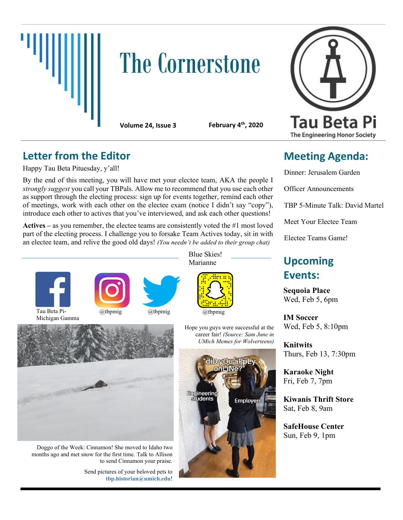

# **The Cornerstone**



**Volume 24, Issue 3 February 4th, 2020**

#### **Letter from the Editor**

Happy Tau Beta Pituesday, y'all!

By the end of this meeting, you will have met your electee team, AKA the people I *strongly suggest* you call your TBPals. Allow me to recommend that you use each other as support through the electing process: sign up for events together, remind each other of meetings, work with each other on the electee exam (notice I didn't say "copy"), introduce each other to actives that you've interviewed, and ask each other questions!

**Actives** – as you remember, the electee teams are consistently voted the  $\#1$  most loved part of the electing process. I challenge you to forsake Team Actives today, sit in with an electee team, and relive the good old days! *(You needn't be added to their group chat)*



Michigan Gamma



Blue Skies!



Hope you guys were successful at the career fair! *(Source: Sam June in UMich Memes for Wolverteens)*



## **Meeting Agenda:**

Dinner: Jerusalem Garden

Officer Announcements

TBP 5-Minute Talk: David Martel

Meet Your Electee Team

Electee Teams Game!

### Marianne **Upcoming Events:**

**Sequoia Place** Wed, Feb 5, 6pm

**IM Soccer** Wed, Feb 5, 8:10pm

**Knitwits** Thurs, Feb 13, 7:30pm

**Karaoke Night** Fri, Feb 7, 7pm

**Kiwanis Thrift Store** Sat, Feb 8, 9am

**SafeHouse Center** Sun, Feb 9, 1pm



Doggo of the Week: Cinnamon! She moved to Idaho two months ago and met snow for the first time. Talk to Allison to send Cinnamon your praise.

> Send pictures of your beloved pets to **tbp.historian@umich.edu**!